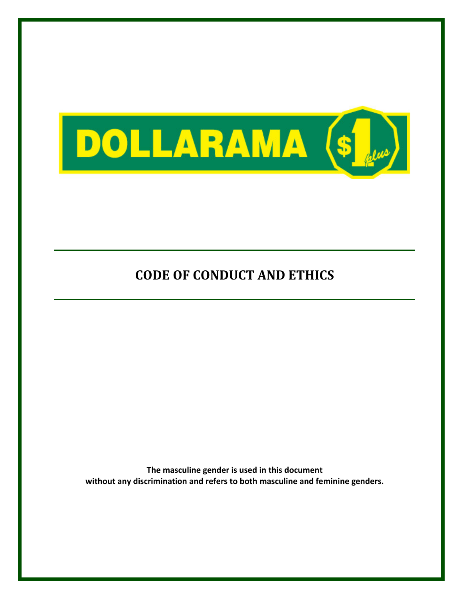

The masculine gender is used in this document without any discrimination and refers to both masculine and feminine genders.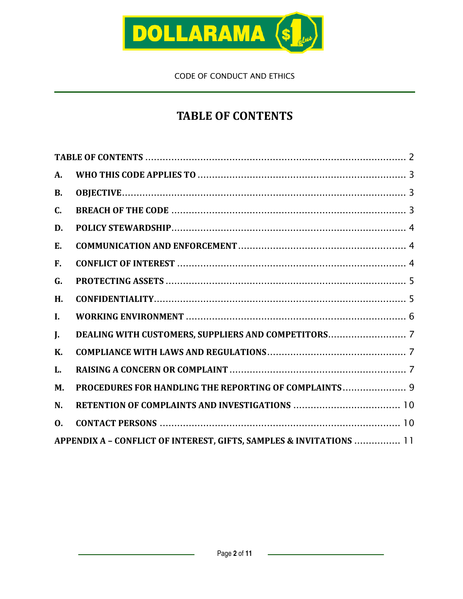

# TABLE OF CONTENTS

| A.             |                                                                     |  |
|----------------|---------------------------------------------------------------------|--|
| <b>B.</b>      |                                                                     |  |
| C.             |                                                                     |  |
| D.             |                                                                     |  |
| E.             |                                                                     |  |
| F.             |                                                                     |  |
| G.             |                                                                     |  |
| H.             |                                                                     |  |
| I.             |                                                                     |  |
| J.             |                                                                     |  |
| <b>K.</b>      |                                                                     |  |
| L.             |                                                                     |  |
| M.             | PROCEDURES FOR HANDLING THE REPORTING OF COMPLAINTS 9               |  |
| N.             |                                                                     |  |
| $\mathbf{0}$ . |                                                                     |  |
|                | APPENDIX A - CONFLICT OF INTEREST, GIFTS, SAMPLES & INVITATIONS  11 |  |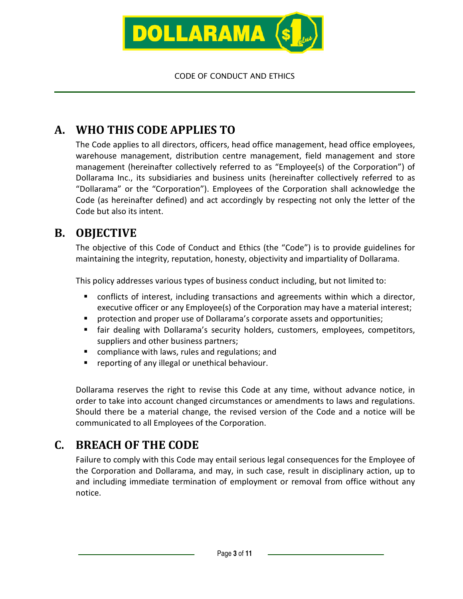

# A. WHO THIS CODE APPLIES TO

The Code applies to all directors, officers, head office management, head office employees, warehouse management, distribution centre management, field management and store management (hereinafter collectively referred to as "Employee(s) of the Corporation") of Dollarama Inc., its subsidiaries and business units (hereinafter collectively referred to as "Dollarama" or the "Corporation"). Employees of the Corporation shall acknowledge the Code (as hereinafter defined) and act accordingly by respecting not only the letter of the Code but also its intent.

### B. OBJECTIVE

The objective of this Code of Conduct and Ethics (the "Code") is to provide guidelines for maintaining the integrity, reputation, honesty, objectivity and impartiality of Dollarama.

This policy addresses various types of business conduct including, but not limited to:

- conflicts of interest, including transactions and agreements within which a director, executive officer or any Employee(s) of the Corporation may have a material interest;
- **Perofi** protection and proper use of Dollarama's corporate assets and opportunities;
- fair dealing with Dollarama's security holders, customers, employees, competitors, suppliers and other business partners;
- compliance with laws, rules and regulations; and
- **•** reporting of any illegal or unethical behaviour.

Dollarama reserves the right to revise this Code at any time, without advance notice, in order to take into account changed circumstances or amendments to laws and regulations. Should there be a material change, the revised version of the Code and a notice will be communicated to all Employees of the Corporation.

### C. BREACH OF THE CODE

Failure to comply with this Code may entail serious legal consequences for the Employee of the Corporation and Dollarama, and may, in such case, result in disciplinary action, up to and including immediate termination of employment or removal from office without any notice.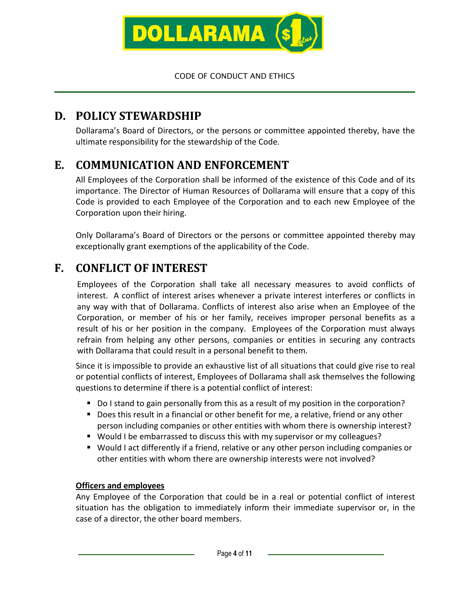

## D. POLICY STEWARDSHIP

Dollarama's Board of Directors, or the persons or committee appointed thereby, have the ultimate responsibility for the stewardship of the Code.

# E. COMMUNICATION AND ENFORCEMENT

All Employees of the Corporation shall be informed of the existence of this Code and of its importance. The Director of Human Resources of Dollarama will ensure that a copy of this Code is provided to each Employee of the Corporation and to each new Employee of the Corporation upon their hiring.

Only Dollarama's Board of Directors or the persons or committee appointed thereby may exceptionally grant exemptions of the applicability of the Code.

# F. CONFLICT OF INTEREST

Employees of the Corporation shall take all necessary measures to avoid conflicts of interest. A conflict of interest arises whenever a private interest interferes or conflicts in any way with that of Dollarama. Conflicts of interest also arise when an Employee of the Corporation, or member of his or her family, receives improper personal benefits as a result of his or her position in the company. Employees of the Corporation must always refrain from helping any other persons, companies or entities in securing any contracts with Dollarama that could result in a personal benefit to them.

Since it is impossible to provide an exhaustive list of all situations that could give rise to real or potential conflicts of interest, Employees of Dollarama shall ask themselves the following questions to determine if there is a potential conflict of interest:

- Do I stand to gain personally from this as a result of my position in the corporation?
- Does this result in a financial or other benefit for me, a relative, friend or any other person including companies or other entities with whom there is ownership interest?
- Would I be embarrassed to discuss this with my supervisor or my colleagues?
- Would I act differently if a friend, relative or any other person including companies or other entities with whom there are ownership interests were not involved?

#### Officers and employees

Any Employee of the Corporation that could be in a real or potential conflict of interest situation has the obligation to immediately inform their immediate supervisor or, in the case of a director, the other board members.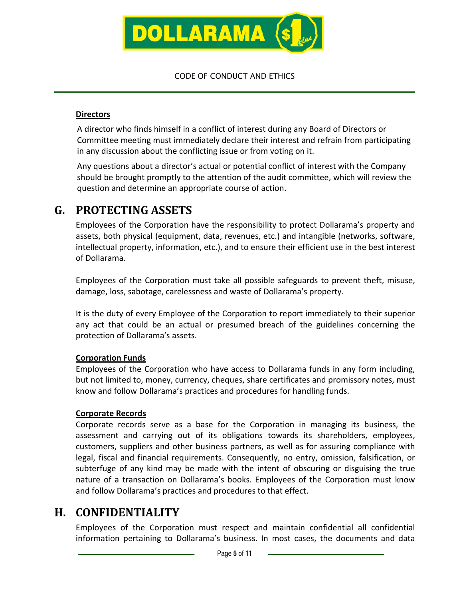

#### **Directors**

A director who finds himself in a conflict of interest during any Board of Directors or Committee meeting must immediately declare their interest and refrain from participating in any discussion about the conflicting issue or from voting on it.

Any questions about a director's actual or potential conflict of interest with the Company should be brought promptly to the attention of the audit committee, which will review the question and determine an appropriate course of action.

### G. PROTECTING ASSETS

Employees of the Corporation have the responsibility to protect Dollarama's property and assets, both physical (equipment, data, revenues, etc.) and intangible (networks, software, intellectual property, information, etc.), and to ensure their efficient use in the best interest of Dollarama.

Employees of the Corporation must take all possible safeguards to prevent theft, misuse, damage, loss, sabotage, carelessness and waste of Dollarama's property.

It is the duty of every Employee of the Corporation to report immediately to their superior any act that could be an actual or presumed breach of the guidelines concerning the protection of Dollarama's assets.

#### Corporation Funds

Employees of the Corporation who have access to Dollarama funds in any form including, but not limited to, money, currency, cheques, share certificates and promissory notes, must know and follow Dollarama's practices and procedures for handling funds.

#### Corporate Records

Corporate records serve as a base for the Corporation in managing its business, the assessment and carrying out of its obligations towards its shareholders, employees, customers, suppliers and other business partners, as well as for assuring compliance with legal, fiscal and financial requirements. Consequently, no entry, omission, falsification, or subterfuge of any kind may be made with the intent of obscuring or disguising the true nature of a transaction on Dollarama's books. Employees of the Corporation must know and follow Dollarama's practices and procedures to that effect.

### H. CONFIDENTIALITY

Employees of the Corporation must respect and maintain confidential all confidential information pertaining to Dollarama's business. In most cases, the documents and data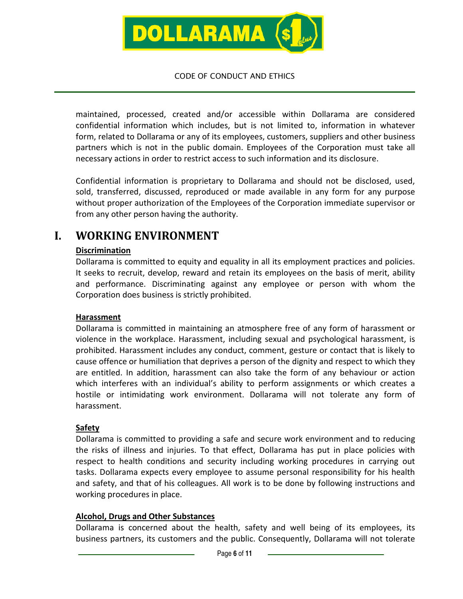

maintained, processed, created and/or accessible within Dollarama are considered confidential information which includes, but is not limited to, information in whatever form, related to Dollarama or any of its employees, customers, suppliers and other business partners which is not in the public domain. Employees of the Corporation must take all necessary actions in order to restrict access to such information and its disclosure.

Confidential information is proprietary to Dollarama and should not be disclosed, used, sold, transferred, discussed, reproduced or made available in any form for any purpose without proper authorization of the Employees of the Corporation immediate supervisor or from any other person having the authority.

### I. WORKING ENVIRONMENT

#### **Discrimination**

Dollarama is committed to equity and equality in all its employment practices and policies. It seeks to recruit, develop, reward and retain its employees on the basis of merit, ability and performance. Discriminating against any employee or person with whom the Corporation does business is strictly prohibited.

#### Harassment

Dollarama is committed in maintaining an atmosphere free of any form of harassment or violence in the workplace. Harassment, including sexual and psychological harassment, is prohibited. Harassment includes any conduct, comment, gesture or contact that is likely to cause offence or humiliation that deprives a person of the dignity and respect to which they are entitled. In addition, harassment can also take the form of any behaviour or action which interferes with an individual's ability to perform assignments or which creates a hostile or intimidating work environment. Dollarama will not tolerate any form of harassment.

#### **Safety**

Dollarama is committed to providing a safe and secure work environment and to reducing the risks of illness and injuries. To that effect, Dollarama has put in place policies with respect to health conditions and security including working procedures in carrying out tasks. Dollarama expects every employee to assume personal responsibility for his health and safety, and that of his colleagues. All work is to be done by following instructions and working procedures in place.

#### Alcohol, Drugs and Other Substances

Dollarama is concerned about the health, safety and well being of its employees, its business partners, its customers and the public. Consequently, Dollarama will not tolerate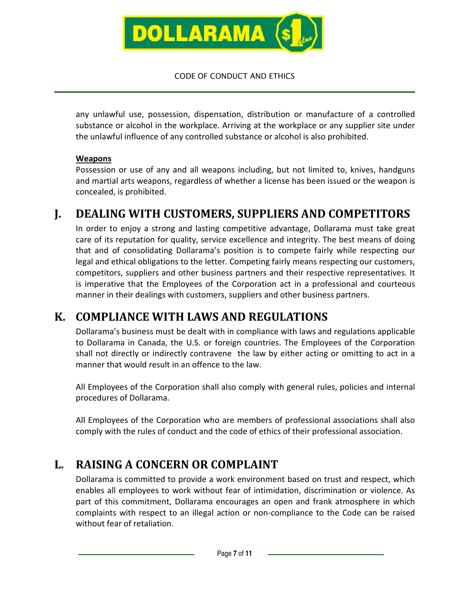

any unlawful use, possession, dispensation, distribution or manufacture of a controlled substance or alcohol in the workplace. Arriving at the workplace or any supplier site under the unlawful influence of any controlled substance or alcohol is also prohibited.

#### Weapons

Possession or use of any and all weapons including, but not limited to, knives, handguns and martial arts weapons, regardless of whether a license has been issued or the weapon is concealed, is prohibited.

### J. DEALING WITH CUSTOMERS, SUPPLIERS AND COMPETITORS

In order to enjoy a strong and lasting competitive advantage, Dollarama must take great care of its reputation for quality, service excellence and integrity. The best means of doing that and of consolidating Dollarama's position is to compete fairly while respecting our legal and ethical obligations to the letter. Competing fairly means respecting our customers, competitors, suppliers and other business partners and their respective representatives. It is imperative that the Employees of the Corporation act in a professional and courteous manner in their dealings with customers, suppliers and other business partners.

### K. COMPLIANCE WITH LAWS AND REGULATIONS

Dollarama's business must be dealt with in compliance with laws and regulations applicable to Dollarama in Canada, the U.S. or foreign countries. The Employees of the Corporation shall not directly or indirectly contravene the law by either acting or omitting to act in a manner that would result in an offence to the law.

All Employees of the Corporation shall also comply with general rules, policies and internal procedures of Dollarama.

All Employees of the Corporation who are members of professional associations shall also comply with the rules of conduct and the code of ethics of their professional association.

# L. RAISING A CONCERN OR COMPLAINT

Dollarama is committed to provide a work environment based on trust and respect, which enables all employees to work without fear of intimidation, discrimination or violence. As part of this commitment, Dollarama encourages an open and frank atmosphere in which complaints with respect to an illegal action or non-compliance to the Code can be raised without fear of retaliation.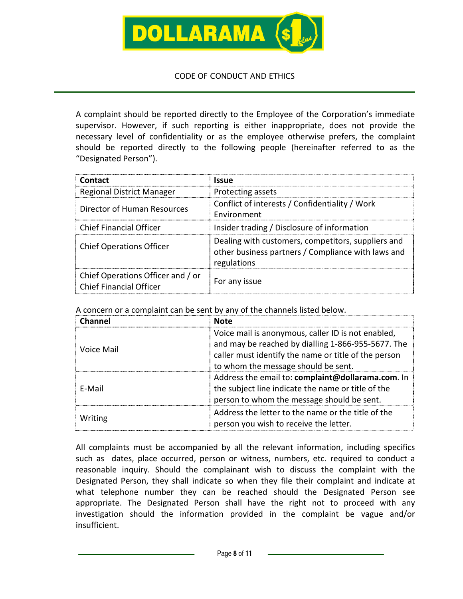

A complaint should be reported directly to the Employee of the Corporation's immediate supervisor. However, if such reporting is either inappropriate, does not provide the necessary level of confidentiality or as the employee otherwise prefers, the complaint should be reported directly to the following people (hereinafter referred to as the "Designated Person").

| Contact                                                             | <b>Issue</b>                                                                                                            |
|---------------------------------------------------------------------|-------------------------------------------------------------------------------------------------------------------------|
| <b>Regional District Manager</b>                                    | Protecting assets                                                                                                       |
| Director of Human Resources                                         | Conflict of interests / Confidentiality / Work<br>Fnvironment                                                           |
| Chief Financial Officer                                             | Insider trading / Disclosure of information                                                                             |
| <b>Chief Operations Officer</b>                                     | Dealing with customers, competitors, suppliers and<br>other business partners / Compliance with laws and<br>regulations |
| Chief Operations Officer and / or<br><b>Chief Financial Officer</b> | For any issue                                                                                                           |

A concern or a complaint can be sent by any of the channels listed below.

| Channel    | <b>Note</b>                                                                                                                                                                                             |
|------------|---------------------------------------------------------------------------------------------------------------------------------------------------------------------------------------------------------|
| Voice Mail | Voice mail is anonymous, caller ID is not enabled,<br>and may be reached by dialling 1-866-955-5677. The<br>caller must identify the name or title of the person<br>to whom the message should be sent. |
| F-Mail     | Address the email to: complaint@dollarama.com. In<br>the subject line indicate the name or title of the<br>person to whom the message should be sent.                                                   |
| Writing    | Address the letter to the name or the title of the<br>person you wish to receive the letter.                                                                                                            |

All complaints must be accompanied by all the relevant information, including specifics such as dates, place occurred, person or witness, numbers, etc. required to conduct a reasonable inquiry. Should the complainant wish to discuss the complaint with the Designated Person, they shall indicate so when they file their complaint and indicate at what telephone number they can be reached should the Designated Person see appropriate. The Designated Person shall have the right not to proceed with any investigation should the information provided in the complaint be vague and/or insufficient.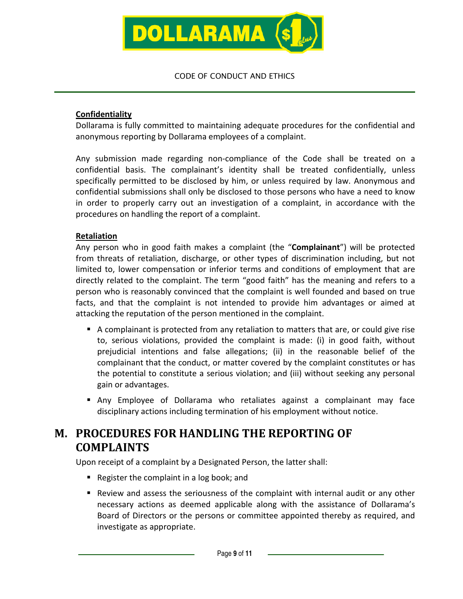

#### **Confidentiality**

Dollarama is fully committed to maintaining adequate procedures for the confidential and anonymous reporting by Dollarama employees of a complaint.

Any submission made regarding non-compliance of the Code shall be treated on a confidential basis. The complainant's identity shall be treated confidentially, unless specifically permitted to be disclosed by him, or unless required by law. Anonymous and confidential submissions shall only be disclosed to those persons who have a need to know in order to properly carry out an investigation of a complaint, in accordance with the procedures on handling the report of a complaint.

#### Retaliation

Any person who in good faith makes a complaint (the "Complainant") will be protected from threats of retaliation, discharge, or other types of discrimination including, but not limited to, lower compensation or inferior terms and conditions of employment that are directly related to the complaint. The term "good faith" has the meaning and refers to a person who is reasonably convinced that the complaint is well founded and based on true facts, and that the complaint is not intended to provide him advantages or aimed at attacking the reputation of the person mentioned in the complaint.

- A complainant is protected from any retaliation to matters that are, or could give rise to, serious violations, provided the complaint is made: (i) in good faith, without prejudicial intentions and false allegations; (ii) in the reasonable belief of the complainant that the conduct, or matter covered by the complaint constitutes or has the potential to constitute a serious violation; and (iii) without seeking any personal gain or advantages.
- Any Employee of Dollarama who retaliates against a complainant may face disciplinary actions including termination of his employment without notice.

# M. PROCEDURES FOR HANDLING THE REPORTING OF COMPLAINTS

Upon receipt of a complaint by a Designated Person, the latter shall:

- Register the complaint in a log book; and
- Review and assess the seriousness of the complaint with internal audit or any other necessary actions as deemed applicable along with the assistance of Dollarama's Board of Directors or the persons or committee appointed thereby as required, and investigate as appropriate.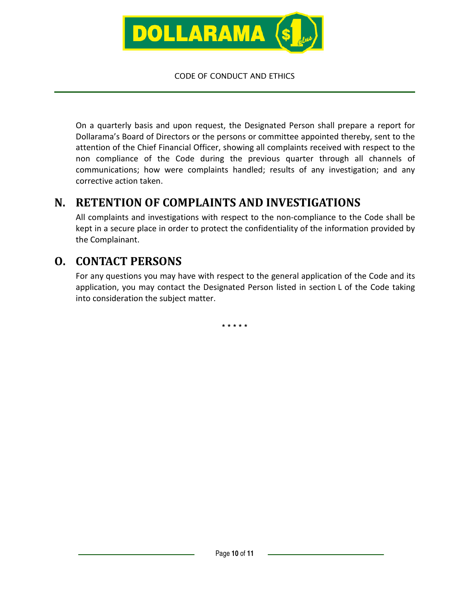

On a quarterly basis and upon request, the Designated Person shall prepare a report for Dollarama's Board of Directors or the persons or committee appointed thereby, sent to the attention of the Chief Financial Officer, showing all complaints received with respect to the non compliance of the Code during the previous quarter through all channels of communications; how were complaints handled; results of any investigation; and any corrective action taken.

### N. RETENTION OF COMPLAINTS AND INVESTIGATIONS

All complaints and investigations with respect to the non-compliance to the Code shall be kept in a secure place in order to protect the confidentiality of the information provided by the Complainant.

### O. CONTACT PERSONS

For any questions you may have with respect to the general application of the Code and its application, you may contact the Designated Person listed in section L of the Code taking into consideration the subject matter.

**\* \* \* \* \***